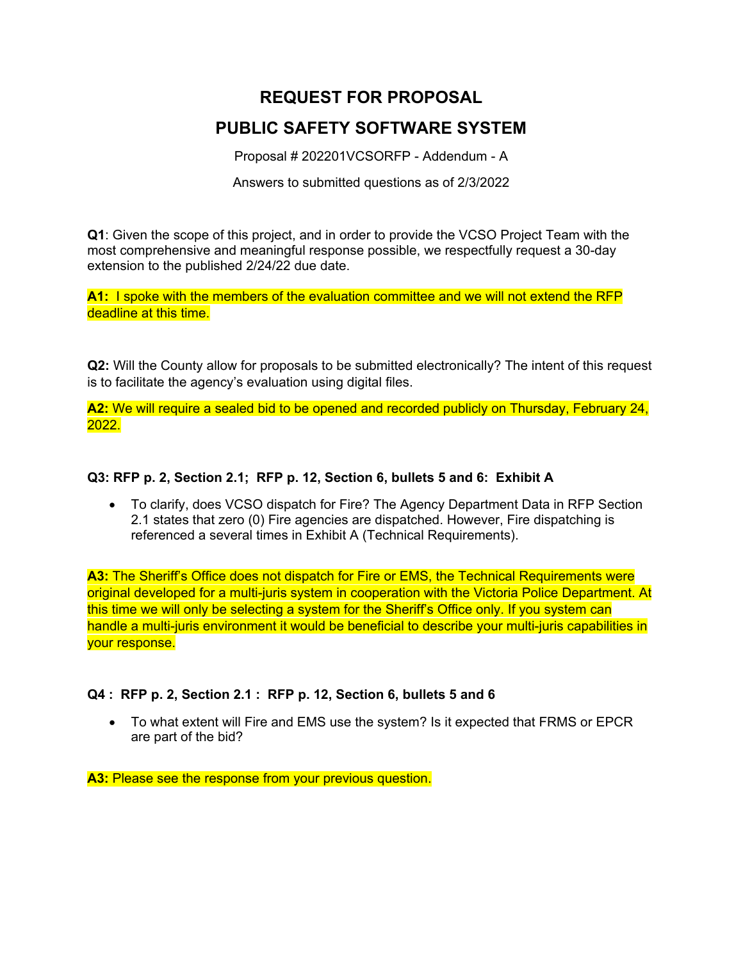# **REQUEST FOR PROPOSAL PUBLIC SAFETY SOFTWARE SYSTEM**

Proposal # 202201VCSORFP - Addendum - A

Answers to submitted questions as of 2/3/2022

**Q1**: Given the scope of this project, and in order to provide the VCSO Project Team with the most comprehensive and meaningful response possible, we respectfully request a 30-day extension to the published 2/24/22 due date.

**A1:** I spoke with the members of the evaluation committee and we will not extend the RFP deadline at this time.

**Q2:** Will the County allow for proposals to be submitted electronically? The intent of this request is to facilitate the agency's evaluation using digital files.

**A2:** We will require a sealed bid to be opened and recorded publicly on Thursday, February 24, 2022.

## **Q3: RFP p. 2, Section 2.1; RFP p. 12, Section 6, bullets 5 and 6: Exhibit A**

 To clarify, does VCSO dispatch for Fire? The Agency Department Data in RFP Section 2.1 states that zero (0) Fire agencies are dispatched. However, Fire dispatching is referenced a several times in Exhibit A (Technical Requirements).

**A3:** The Sheriff's Office does not dispatch for Fire or EMS, the Technical Requirements were original developed for a multi-juris system in cooperation with the Victoria Police Department. At this time we will only be selecting a system for the Sheriff's Office only. If you system can handle a multi-juris environment it would be beneficial to describe your multi-juris capabilities in your response.

## **Q4 : RFP p. 2, Section 2.1 : RFP p. 12, Section 6, bullets 5 and 6**

 To what extent will Fire and EMS use the system? Is it expected that FRMS or EPCR are part of the bid?

**A3: Please see the response from your previous question.**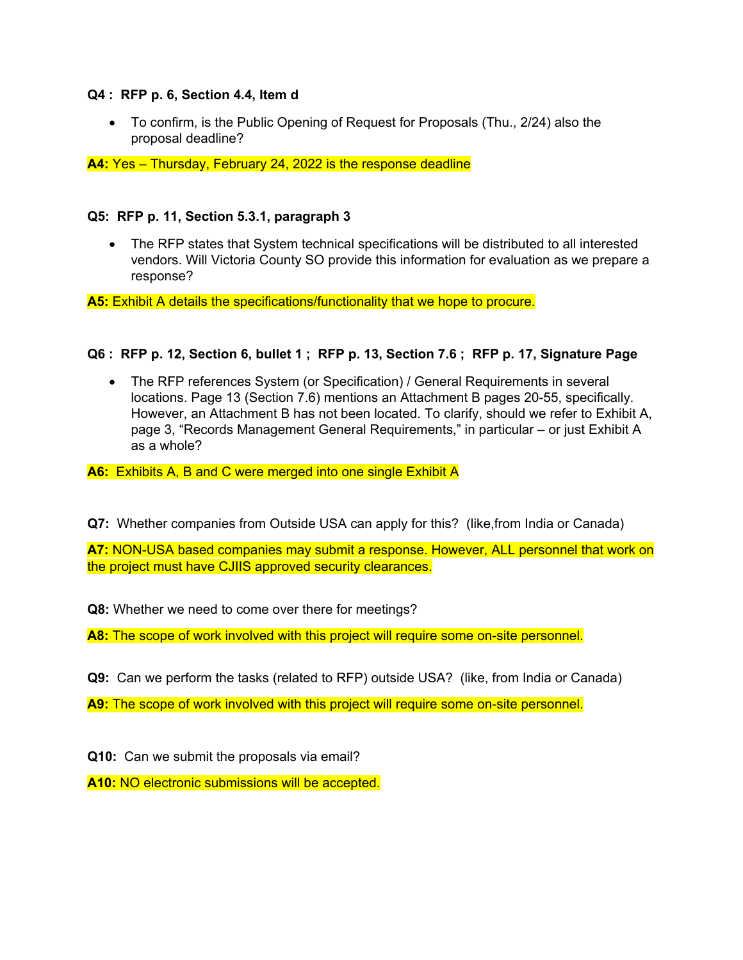### **Q4 : RFP p. 6, Section 4.4, Item d**

 To confirm, is the Public Opening of Request for Proposals (Thu., 2/24) also the proposal deadline?

**A4:** Yes – Thursday, February 24, 2022 is the response deadline

### **Q5: RFP p. 11, Section 5.3.1, paragraph 3**

• The RFP states that System technical specifications will be distributed to all interested vendors. Will Victoria County SO provide this information for evaluation as we prepare a response?

**A5:** Exhibit A details the specifications/functionality that we hope to procure.

## **Q6 : RFP p. 12, Section 6, bullet 1 ; RFP p. 13, Section 7.6 ; RFP p. 17, Signature Page**

 The RFP references System (or Specification) / General Requirements in several locations. Page 13 (Section 7.6) mentions an Attachment B pages 20-55, specifically. However, an Attachment B has not been located. To clarify, should we refer to Exhibit A, page 3, "Records Management General Requirements," in particular – or just Exhibit A as a whole?

**A6:** Exhibits A, B and C were merged into one single Exhibit A

**Q7:** Whether companies from Outside USA can apply for this? (like,from India or Canada)

**A7:** NON-USA based companies may submit a response. However, ALL personnel that work on the project must have CJIIS approved security clearances.

**Q8:** Whether we need to come over there for meetings?

**A8:** The scope of work involved with this project will require some on-site personnel.

**Q9:** Can we perform the tasks (related to RFP) outside USA? (like, from India or Canada)

**A9:** The scope of work involved with this project will require some on-site personnel.

**Q10:** Can we submit the proposals via email?

**A10:** NO electronic submissions will be accepted.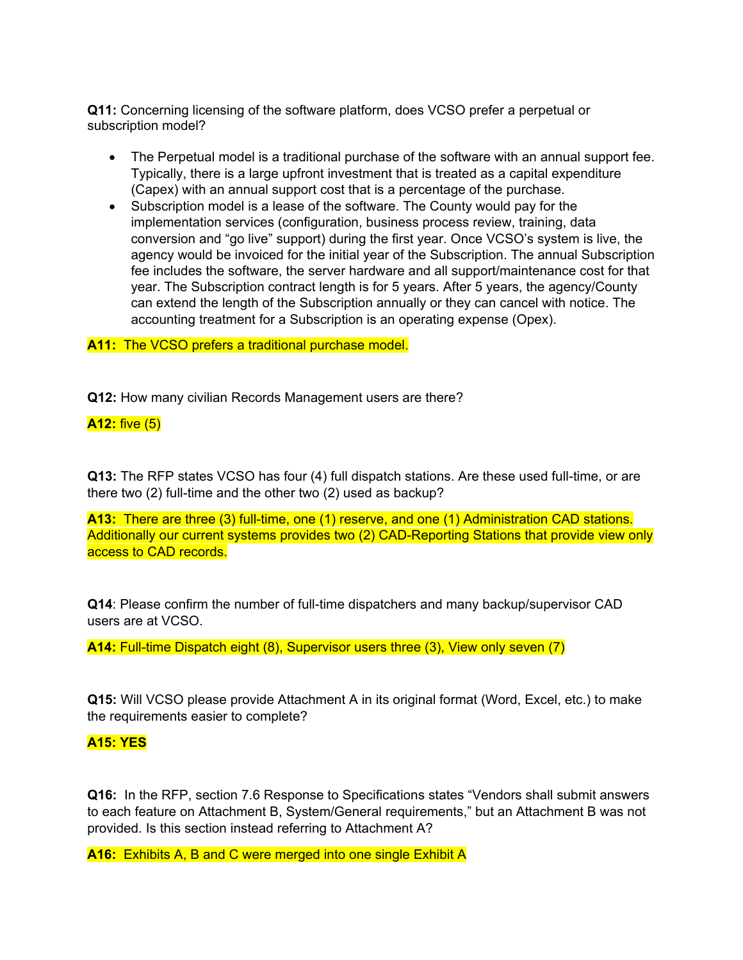**Q11:** Concerning licensing of the software platform, does VCSO prefer a perpetual or subscription model?

- The Perpetual model is a traditional purchase of the software with an annual support fee. Typically, there is a large upfront investment that is treated as a capital expenditure (Capex) with an annual support cost that is a percentage of the purchase.
- Subscription model is a lease of the software. The County would pay for the implementation services (configuration, business process review, training, data conversion and "go live" support) during the first year. Once VCSO's system is live, the agency would be invoiced for the initial year of the Subscription. The annual Subscription fee includes the software, the server hardware and all support/maintenance cost for that year. The Subscription contract length is for 5 years. After 5 years, the agency/County can extend the length of the Subscription annually or they can cancel with notice. The accounting treatment for a Subscription is an operating expense (Opex).

#### **A11:** The VCSO prefers a traditional purchase model.

**Q12:** How many civilian Records Management users are there?

### **A12:** five (5)

**Q13:** The RFP states VCSO has four (4) full dispatch stations. Are these used full-time, or are there two (2) full-time and the other two (2) used as backup?

**A13:** There are three (3) full-time, one (1) reserve, and one (1) Administration CAD stations. Additionally our current systems provides two (2) CAD-Reporting Stations that provide view only access to CAD records.

**Q14**: Please confirm the number of full-time dispatchers and many backup/supervisor CAD users are at VCSO.

**A14:** Full-time Dispatch eight (8), Supervisor users three (3), View only seven (7)

**Q15:** Will VCSO please provide Attachment A in its original format (Word, Excel, etc.) to make the requirements easier to complete?

#### **A15: YES**

**Q16:** In the RFP, section 7.6 Response to Specifications states "Vendors shall submit answers to each feature on Attachment B, System/General requirements," but an Attachment B was not provided. Is this section instead referring to Attachment A?

**A16:** Exhibits A, B and C were merged into one single Exhibit A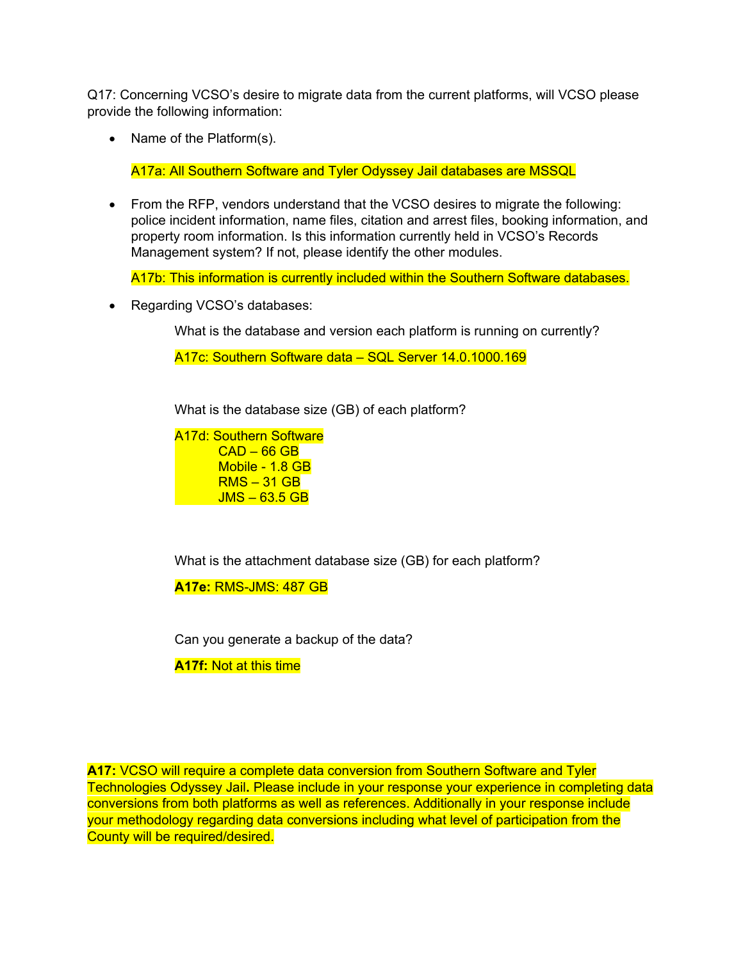Q17: Concerning VCSO's desire to migrate data from the current platforms, will VCSO please provide the following information:

• Name of the Platform(s).

A17a: All Southern Software and Tyler Odyssey Jail databases are MSSQL

 From the RFP, vendors understand that the VCSO desires to migrate the following: police incident information, name files, citation and arrest files, booking information, and property room information. Is this information currently held in VCSO's Records Management system? If not, please identify the other modules.

A17b: This information is currently included within the Southern Software databases.

• Regarding VCSO's databases:

What is the database and version each platform is running on currently?

A17c: Southern Software data – SQL Server 14.0.1000.169

What is the database size (GB) of each platform?

A17d: Southern Software  $CAD - 66$  GB Mobile - 1.8 GB RMS – 31 GB  $JMS - 63.5 GB$ 

What is the attachment database size (GB) for each platform?

**A17e:** RMS-JMS: 487 GB

Can you generate a backup of the data?

**A17f:** Not at this time

**A17:** VCSO will require a complete data conversion from Southern Software and Tyler Technologies Odyssey Jail**.** Please include in your response your experience in completing data conversions from both platforms as well as references. Additionally in your response include your methodology regarding data conversions including what level of participation from the County will be required/desired.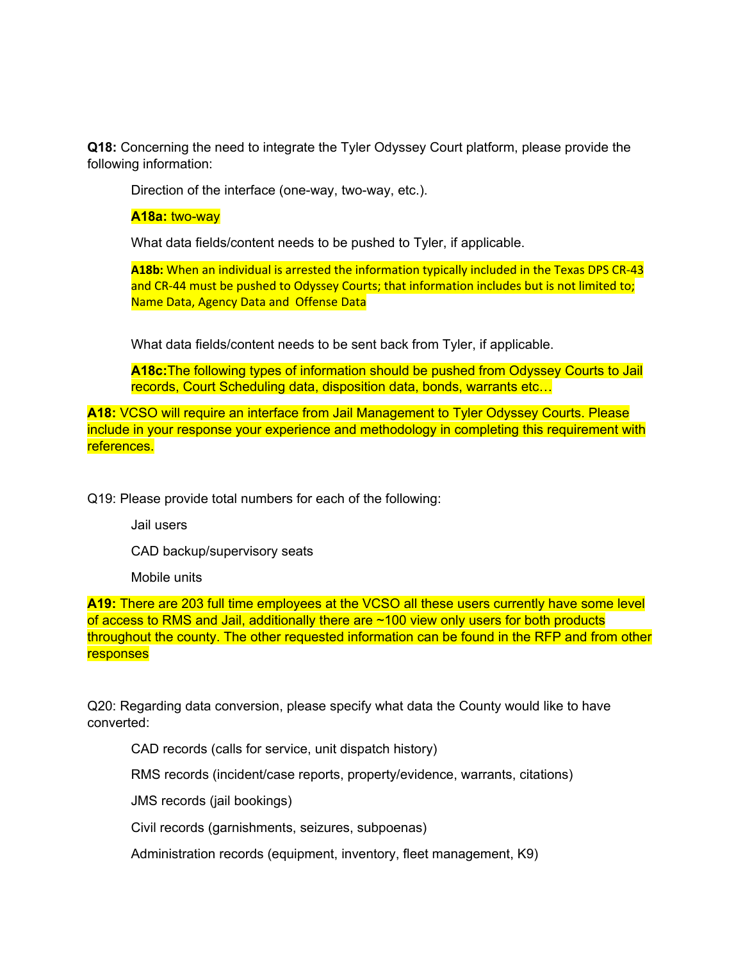**Q18:** Concerning the need to integrate the Tyler Odyssey Court platform, please provide the following information:

Direction of the interface (one-way, two-way, etc.).

**A18a:** two-way

What data fields/content needs to be pushed to Tyler, if applicable.

**A18b:** When an individual is arrested the information typically included in the Texas DPS CR‐43 and CR-44 must be pushed to Odyssey Courts; that information includes but is not limited to; Name Data, Agency Data and Offense Data

What data fields/content needs to be sent back from Tyler, if applicable.

**A18c:**The following types of information should be pushed from Odyssey Courts to Jail records, Court Scheduling data, disposition data, bonds, warrants etc…

**A18:** VCSO will require an interface from Jail Management to Tyler Odyssey Courts. Please include in your response your experience and methodology in completing this requirement with references.

Q19: Please provide total numbers for each of the following:

Jail users

CAD backup/supervisory seats

Mobile units

**A19:** There are 203 full time employees at the VCSO all these users currently have some level of access to RMS and Jail, additionally there are ~100 view only users for both products throughout the county. The other requested information can be found in the RFP and from other responses

Q20: Regarding data conversion, please specify what data the County would like to have converted:

CAD records (calls for service, unit dispatch history)

RMS records (incident/case reports, property/evidence, warrants, citations)

JMS records (jail bookings)

Civil records (garnishments, seizures, subpoenas)

Administration records (equipment, inventory, fleet management, K9)